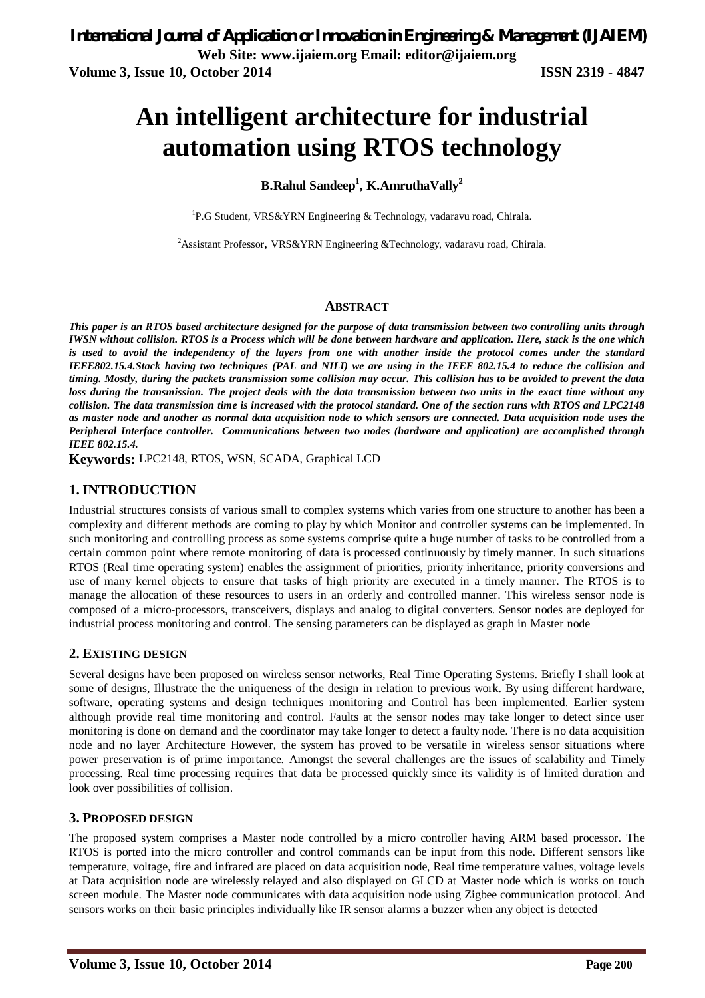# **An intelligent architecture for industrial automation using RTOS technology**

# **B.Rahul Sandeep<sup>1</sup> , K.AmruthaVally<sup>2</sup>**

<sup>1</sup>P.G Student, VRS&YRN Engineering & Technology, vadaravu road, Chirala.

<sup>2</sup>Assistant Professor, VRS&YRN Engineering &Technology, vadaravu road, Chirala.

#### **ABSTRACT**

*This paper is an RTOS based architecture designed for the purpose of data transmission between two controlling units through IWSN without collision. RTOS is a Process which will be done between hardware and application. Here, stack is the one which is used to avoid the independency of the layers from one with another inside the protocol comes under the standard IEEE802.15.4.Stack having two techniques (PAL and NILI) we are using in the IEEE 802.15.4 to reduce the collision and timing. Mostly, during the packets transmission some collision may occur. This collision has to be avoided to prevent the data loss during the transmission. The project deals with the data transmission between two units in the exact time without any collision. The data transmission time is increased with the protocol standard. One of the section runs with RTOS and LPC2148 as master node and another as normal data acquisition node to which sensors are connected. Data acquisition node uses the Peripheral Interface controller. Communications between two nodes (hardware and application) are accomplished through IEEE 802.15.4.*

**Keywords:** LPC2148, RTOS, WSN, SCADA, Graphical LCD

# **1. INTRODUCTION**

Industrial structures consists of various small to complex systems which varies from one structure to another has been a complexity and different methods are coming to play by which Monitor and controller systems can be implemented. In such monitoring and controlling process as some systems comprise quite a huge number of tasks to be controlled from a certain common point where remote monitoring of data is processed continuously by timely manner. In such situations RTOS (Real time operating system) enables the assignment of priorities, priority inheritance, priority conversions and use of many kernel objects to ensure that tasks of high priority are executed in a timely manner. The RTOS is to manage the allocation of these resources to users in an orderly and controlled manner. This wireless sensor node is composed of a micro-processors, transceivers, displays and analog to digital converters. Sensor nodes are deployed for industrial process monitoring and control. The sensing parameters can be displayed as graph in Master node

#### **2. EXISTING DESIGN**

Several designs have been proposed on wireless sensor networks, Real Time Operating Systems. Briefly I shall look at some of designs, Illustrate the the uniqueness of the design in relation to previous work. By using different hardware, software, operating systems and design techniques monitoring and Control has been implemented. Earlier system although provide real time monitoring and control. Faults at the sensor nodes may take longer to detect since user monitoring is done on demand and the coordinator may take longer to detect a faulty node. There is no data acquisition node and no layer Architecture However, the system has proved to be versatile in wireless sensor situations where power preservation is of prime importance. Amongst the several challenges are the issues of scalability and Timely processing. Real time processing requires that data be processed quickly since its validity is of limited duration and look over possibilities of collision.

#### **3. PROPOSED DESIGN**

The proposed system comprises a Master node controlled by a micro controller having ARM based processor. The RTOS is ported into the micro controller and control commands can be input from this node. Different sensors like temperature, voltage, fire and infrared are placed on data acquisition node, Real time temperature values, voltage levels at Data acquisition node are wirelessly relayed and also displayed on GLCD at Master node which is works on touch screen module. The Master node communicates with data acquisition node using Zigbee communication protocol. And sensors works on their basic principles individually like IR sensor alarms a buzzer when any object is detected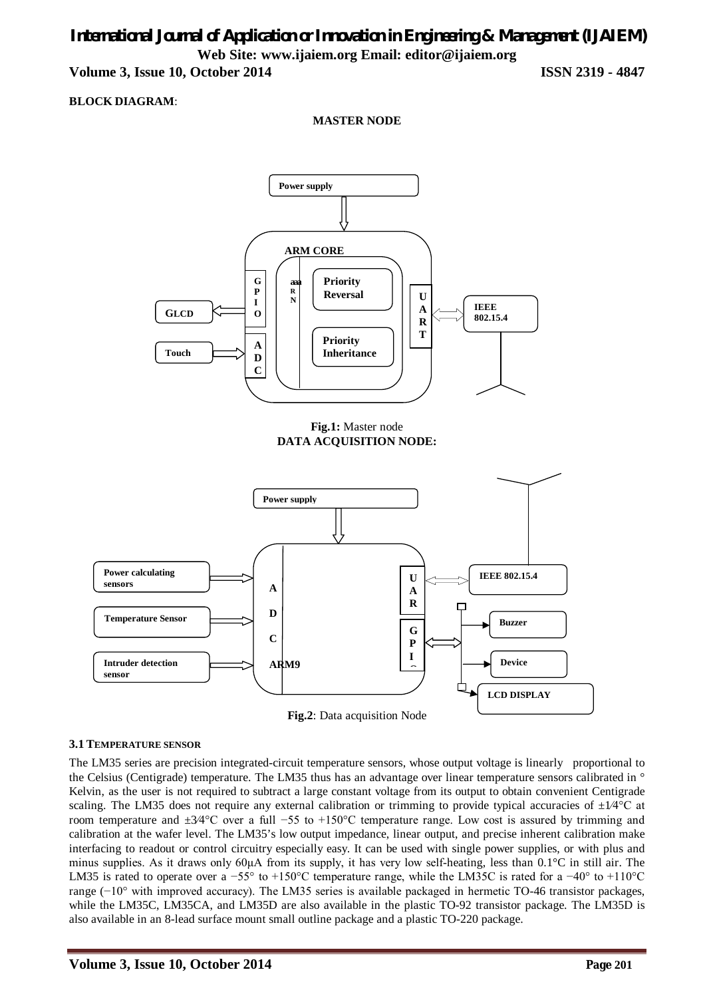# *International Journal of Application or Innovation in Engineering & Management (IJAIEM)* **Web Site: www.ijaiem.org Email: editor@ijaiem.org**

**Volume 3, Issue 10, October 2014 ISSN 2319 - 4847**

### **BLOCK DIAGRAM**:

**MASTER NODE**





#### **3.1 TEMPERATURE SENSOR**

The LM35 series are precision integrated-circuit temperature sensors, whose output voltage is linearly proportional to the Celsius (Centigrade) temperature. The LM35 thus has an advantage over linear temperature sensors calibrated in ° Kelvin, as the user is not required to subtract a large constant voltage from its output to obtain convenient Centigrade scaling. The LM35 does not require any external calibration or trimming to provide typical accuracies of  $\pm 1/4$ °C at room temperature and ±3⁄4°C over a full −55 to +150°C temperature range. Low cost is assured by trimming and calibration at the wafer level. The LM35's low output impedance, linear output, and precise inherent calibration make interfacing to readout or control circuitry especially easy. It can be used with single power supplies, or with plus and minus supplies. As it draws only  $60\mu A$  from its supply, it has very low self-heating, less than  $0.1\textdegree C$  in still air. The LM35 is rated to operate over a −55° to +150°C temperature range, while the LM35C is rated for a  $-40^{\circ}$  to +110°C range (−10° with improved accuracy). The LM35 series is available packaged in hermetic TO-46 transistor packages, while the LM35C, LM35CA, and LM35D are also available in the plastic TO-92 transistor package. The LM35D is also available in an 8-lead surface mount small outline package and a plastic TO-220 package.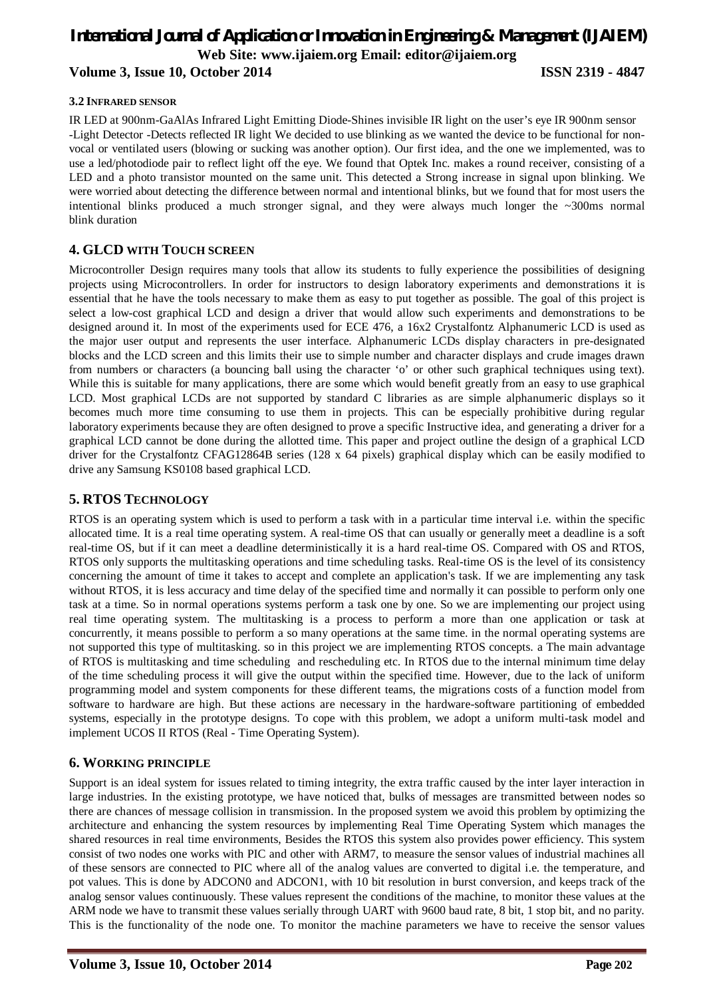#### **3.2 INFRARED SENSOR**

IR LED at 900nm-GaAlAs Infrared Light Emitting Diode-Shines invisible IR light on the user's eye IR 900nm sensor -Light Detector -Detects reflected IR light We decided to use blinking as we wanted the device to be functional for nonvocal or ventilated users (blowing or sucking was another option). Our first idea, and the one we implemented, was to use a led/photodiode pair to reflect light off the eye. We found that Optek Inc. makes a round receiver, consisting of a LED and a photo transistor mounted on the same unit. This detected a Strong increase in signal upon blinking. We were worried about detecting the difference between normal and intentional blinks, but we found that for most users the intentional blinks produced a much stronger signal, and they were always much longer the ~300ms normal blink duration

# **4. GLCD WITH TOUCH SCREEN**

Microcontroller Design requires many tools that allow its students to fully experience the possibilities of designing projects using Microcontrollers. In order for instructors to design laboratory experiments and demonstrations it is essential that he have the tools necessary to make them as easy to put together as possible. The goal of this project is select a low-cost graphical LCD and design a driver that would allow such experiments and demonstrations to be designed around it. In most of the experiments used for ECE 476, a 16x2 Crystalfontz Alphanumeric LCD is used as the major user output and represents the user interface. Alphanumeric LCDs display characters in pre-designated blocks and the LCD screen and this limits their use to simple number and character displays and crude images drawn from numbers or characters (a bouncing ball using the character 'o' or other such graphical techniques using text). While this is suitable for many applications, there are some which would benefit greatly from an easy to use graphical LCD. Most graphical LCDs are not supported by standard C libraries as are simple alphanumeric displays so it becomes much more time consuming to use them in projects. This can be especially prohibitive during regular laboratory experiments because they are often designed to prove a specific Instructive idea, and generating a driver for a graphical LCD cannot be done during the allotted time. This paper and project outline the design of a graphical LCD driver for the Crystalfontz CFAG12864B series (128 x 64 pixels) graphical display which can be easily modified to drive any Samsung KS0108 based graphical LCD.

# **5. RTOS TECHNOLOGY**

RTOS is an operating system which is used to perform a task with in a particular time interval i.e. within the specific allocated time. It is a real time operating system. A real-time OS that can usually or generally meet a deadline is a soft real-time OS, but if it can meet a deadline deterministically it is a hard real-time OS. Compared with OS and RTOS, RTOS only supports the multitasking operations and time scheduling tasks. Real-time OS is the level of its consistency concerning the amount of time it takes to accept and complete an application's task. If we are implementing any task without RTOS, it is less accuracy and time delay of the specified time and normally it can possible to perform only one task at a time. So in normal operations systems perform a task one by one. So we are implementing our project using real time operating system. The multitasking is a process to perform a more than one application or task at concurrently, it means possible to perform a so many operations at the same time. in the normal operating systems are not supported this type of multitasking. so in this project we are implementing RTOS concepts. a The main advantage of RTOS is multitasking and time scheduling and rescheduling etc. In RTOS due to the internal minimum time delay of the time scheduling process it will give the output within the specified time. However, due to the lack of uniform programming model and system components for these different teams, the migrations costs of a function model from software to hardware are high. But these actions are necessary in the hardware-software partitioning of embedded systems, especially in the prototype designs. To cope with this problem, we adopt a uniform multi-task model and implement UCOS II RTOS (Real - Time Operating System).

#### **6. WORKING PRINCIPLE**

Support is an ideal system for issues related to timing integrity, the extra traffic caused by the inter layer interaction in large industries. In the existing prototype, we have noticed that, bulks of messages are transmitted between nodes so there are chances of message collision in transmission. In the proposed system we avoid this problem by optimizing the architecture and enhancing the system resources by implementing Real Time Operating System which manages the shared resources in real time environments, Besides the RTOS this system also provides power efficiency. This system consist of two nodes one works with PIC and other with ARM7, to measure the sensor values of industrial machines all of these sensors are connected to PIC where all of the analog values are converted to digital i.e. the temperature, and pot values. This is done by ADCON0 and ADCON1, with 10 bit resolution in burst conversion, and keeps track of the analog sensor values continuously. These values represent the conditions of the machine, to monitor these values at the ARM node we have to transmit these values serially through UART with 9600 baud rate, 8 bit, 1 stop bit, and no parity. This is the functionality of the node one. To monitor the machine parameters we have to receive the sensor values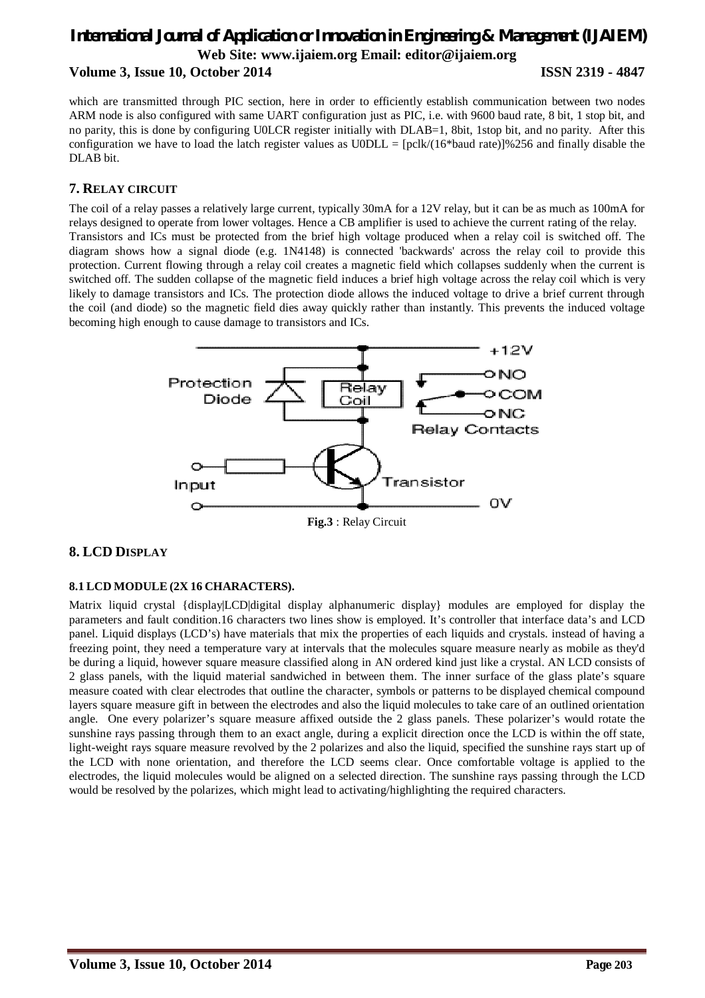which are transmitted through PIC section, here in order to efficiently establish communication between two nodes ARM node is also configured with same UART configuration just as PIC, i.e. with 9600 baud rate, 8 bit, 1 stop bit, and no parity, this is done by configuring U0LCR register initially with DLAB=1, 8bit, 1stop bit, and no parity. After this configuration we have to load the latch register values as  $U0DL = [pclk/(16*baud rate)]\%256$  and finally disable the DLAB bit.

# **7. RELAY CIRCUIT**

The coil of a relay passes a relatively large current, typically 30mA for a 12V relay, but it can be as much as 100mA for relays designed to operate from lower voltages. Hence a CB amplifier is used to achieve the current rating of the relay. Transistors and ICs must be protected from the brief high voltage produced when a relay coil is switched off. The diagram shows how a signal diode (e.g. 1N4148) is connected 'backwards' across the relay coil to provide this protection. Current flowing through a relay coil creates a magnetic field which collapses suddenly when the current is switched off. The sudden collapse of the magnetic field induces a brief high voltage across the relay coil which is very likely to damage transistors and ICs. The protection diode allows the induced voltage to drive a brief current through the coil (and diode) so the magnetic field dies away quickly rather than instantly. This prevents the induced voltage becoming high enough to cause damage to transistors and ICs.



**Fig.3** : Relay Circuit

# **8. LCD DISPLAY**

#### **8.1 LCD MODULE (2X 16 CHARACTERS).**

Matrix liquid crystal {display|LCD|digital display alphanumeric display} modules are employed for display the parameters and fault condition.16 characters two lines show is employed. It's controller that interface data's and LCD panel. Liquid displays (LCD's) have materials that mix the properties of each liquids and crystals. instead of having a freezing point, they need a temperature vary at intervals that the molecules square measure nearly as mobile as they'd be during a liquid, however square measure classified along in AN ordered kind just like a crystal. AN LCD consists of 2 glass panels, with the liquid material sandwiched in between them. The inner surface of the glass plate's square measure coated with clear electrodes that outline the character, symbols or patterns to be displayed chemical compound layers square measure gift in between the electrodes and also the liquid molecules to take care of an outlined orientation angle. One every polarizer's square measure affixed outside the 2 glass panels. These polarizer's would rotate the sunshine rays passing through them to an exact angle, during a explicit direction once the LCD is within the off state, light-weight rays square measure revolved by the 2 polarizes and also the liquid, specified the sunshine rays start up of the LCD with none orientation, and therefore the LCD seems clear. Once comfortable voltage is applied to the electrodes, the liquid molecules would be aligned on a selected direction. The sunshine rays passing through the LCD would be resolved by the polarizes, which might lead to activating/highlighting the required characters.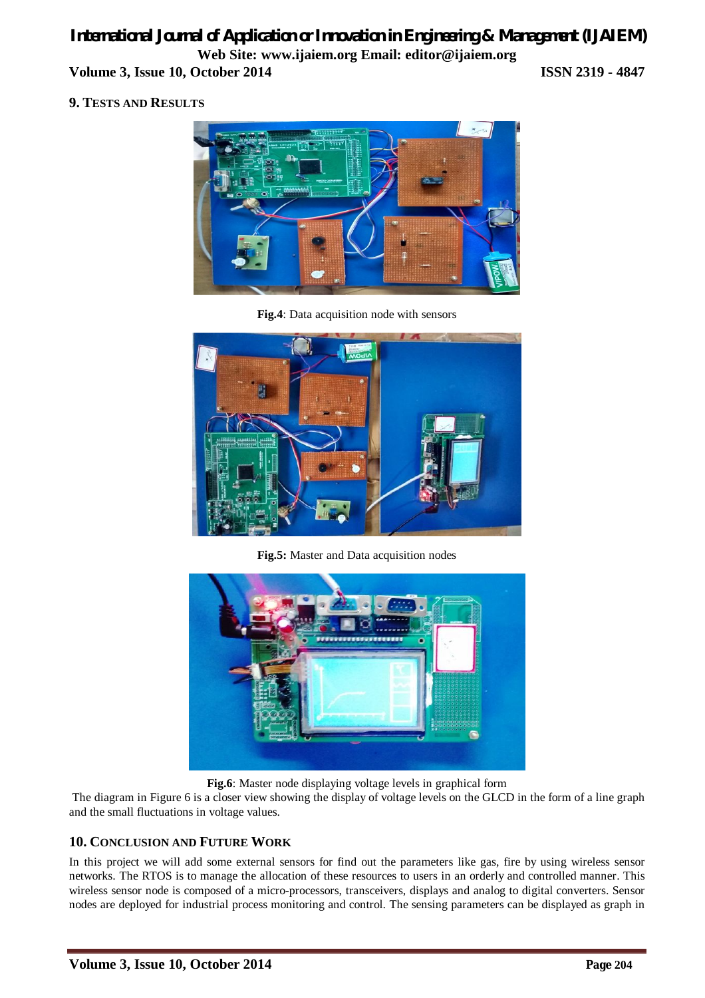# **9. TESTS AND RESULTS**



**Fig.4**: Data acquisition node with sensors



**Fig.5:** Master and Data acquisition nodes



**Fig.6**: Master node displaying voltage levels in graphical form

The diagram in Figure 6 is a closer view showing the display of voltage levels on the GLCD in the form of a line graph and the small fluctuations in voltage values.

# **10. CONCLUSION AND FUTURE WORK**

In this project we will add some external sensors for find out the parameters like gas, fire by using wireless sensor networks. The RTOS is to manage the allocation of these resources to users in an orderly and controlled manner. This wireless sensor node is composed of a micro-processors, transceivers, displays and analog to digital converters. Sensor nodes are deployed for industrial process monitoring and control. The sensing parameters can be displayed as graph in